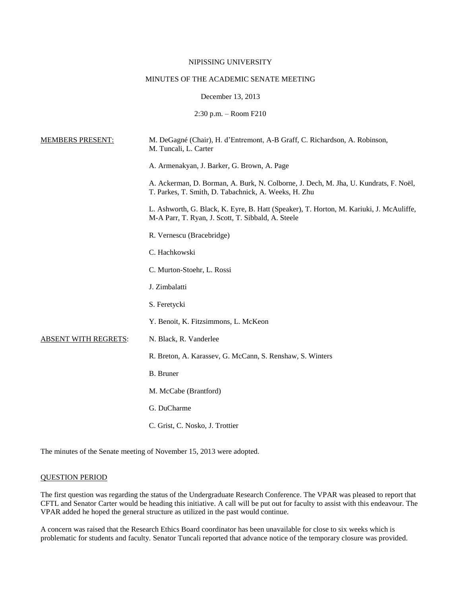## NIPISSING UNIVERSITY

## MINUTES OF THE ACADEMIC SENATE MEETING

### December 13, 2013

2:30 p.m. – Room F210

| <b>MEMBERS PRESENT:</b>     | M. DeGagné (Chair), H. d'Entremont, A-B Graff, C. Richardson, A. Robinson,<br>M. Tuncali, L. Carter                                           |
|-----------------------------|-----------------------------------------------------------------------------------------------------------------------------------------------|
|                             | A. Armenakyan, J. Barker, G. Brown, A. Page                                                                                                   |
|                             | A. Ackerman, D. Borman, A. Burk, N. Colborne, J. Dech, M. Jha, U. Kundrats, F. Noël,<br>T. Parkes, T. Smith, D. Tabachnick, A. Weeks, H. Zhu  |
|                             | L. Ashworth, G. Black, K. Eyre, B. Hatt (Speaker), T. Horton, M. Kariuki, J. McAuliffe,<br>M-A Parr, T. Ryan, J. Scott, T. Sibbald, A. Steele |
|                             | R. Vernescu (Bracebridge)                                                                                                                     |
|                             | C. Hachkowski                                                                                                                                 |
|                             | C. Murton-Stoehr, L. Rossi                                                                                                                    |
|                             | J. Zimbalatti                                                                                                                                 |
|                             | S. Feretycki                                                                                                                                  |
|                             | Y. Benoit, K. Fitzsimmons, L. McKeon                                                                                                          |
| <b>ABSENT WITH REGRETS:</b> | N. Black, R. Vanderlee                                                                                                                        |
|                             | R. Breton, A. Karassev, G. McCann, S. Renshaw, S. Winters                                                                                     |
|                             | <b>B.</b> Bruner                                                                                                                              |
|                             | M. McCabe (Brantford)                                                                                                                         |
|                             | G. DuCharme                                                                                                                                   |
|                             | C. Grist, C. Nosko, J. Trottier                                                                                                               |

The minutes of the Senate meeting of November 15, 2013 were adopted.

# QUESTION PERIOD

The first question was regarding the status of the Undergraduate Research Conference. The VPAR was pleased to report that CFTL and Senator Carter would be heading this initiative. A call will be put out for faculty to assist with this endeavour. The VPAR added he hoped the general structure as utilized in the past would continue.

A concern was raised that the Research Ethics Board coordinator has been unavailable for close to six weeks which is problematic for students and faculty. Senator Tuncali reported that advance notice of the temporary closure was provided.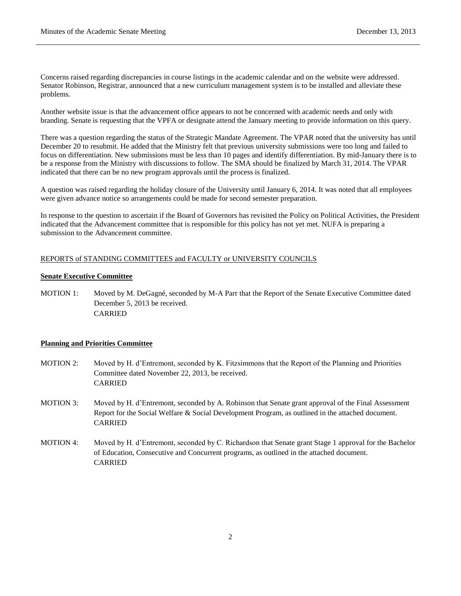Concerns raised regarding discrepancies in course listings in the academic calendar and on the website were addressed. Senator Robinson, Registrar, announced that a new curriculum management system is to be installed and alleviate these problems.

Another website issue is that the advancement office appears to not be concerned with academic needs and only with branding. Senate is requesting that the VPFA or designate attend the January meeting to provide information on this query.

There was a question regarding the status of the Strategic Mandate Agreement. The VPAR noted that the university has until December 20 to resubmit. He added that the Ministry felt that previous university submissions were too long and failed to focus on differentiation. New submissions must be less than 10 pages and identify differentiation. By mid-January there is to be a response from the Ministry with discussions to follow. The SMA should be finalized by March 31, 2014. The VPAR indicated that there can be no new program approvals until the process is finalized.

A question was raised regarding the holiday closure of the University until January 6, 2014. It was noted that all employees were given advance notice so arrangements could be made for second semester preparation.

In response to the question to ascertain if the Board of Governors has revisited the Policy on Political Activities, the President indicated that the Advancement committee that is responsible for this policy has not yet met. NUFA is preparing a submission to the Advancement committee.

## REPORTS of STANDING COMMITTEES and FACULTY or UNIVERSITY COUNCILS

#### **Senate Executive Committee**

MOTION 1: Moved by M. DeGagné, seconded by M-A Parr that the Report of the Senate Executive Committee dated December 5, 2013 be received. CARRIED

## **Planning and Priorities Committee**

- MOTION 2: Moved by H. d'Entremont, seconded by K. Fitzsimmons that the Report of the Planning and Priorities Committee dated November 22, 2013, be received. CARRIED
- MOTION 3: Moved by H. d'Entremont, seconded by A. Robinson that Senate grant approval of the Final Assessment Report for the Social Welfare & Social Development Program, as outlined in the attached document. CARRIED
- MOTION 4: Moved by H. d'Entremont, seconded by C. Richardson that Senate grant Stage 1 approval for the Bachelor of Education, Consecutive and Concurrent programs, as outlined in the attached document. CARRIED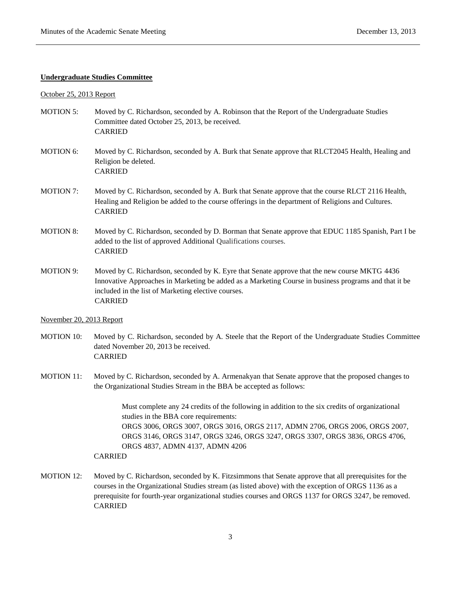### **Undergraduate Studies Committee**

### October 25, 2013 Report

- MOTION 5: Moved by C. Richardson, seconded by A. Robinson that the Report of the Undergraduate Studies Committee dated October 25, 2013, be received. CARRIED
- MOTION 6: Moved by C. Richardson, seconded by A. Burk that Senate approve that RLCT2045 Health, Healing and Religion be deleted. CARRIED
- MOTION 7: Moved by C. Richardson, seconded by A. Burk that Senate approve that the course RLCT 2116 Health, Healing and Religion be added to the course offerings in the department of Religions and Cultures. CARRIED
- MOTION 8: Moved by C. Richardson, seconded by D. Borman that Senate approve that EDUC 1185 Spanish, Part I be added to the list of approved Additional Qualifications courses. CARRIED
- MOTION 9: Moved by C. Richardson, seconded by K. Eyre that Senate approve that the new course MKTG 4436 Innovative Approaches in Marketing be added as a Marketing Course in business programs and that it be included in the list of Marketing elective courses. CARRIED

#### November 20, 2013 Report

- MOTION 10: Moved by C. Richardson, seconded by A. Steele that the Report of the Undergraduate Studies Committee dated November 20, 2013 be received. CARRIED
- MOTION 11: Moved by C. Richardson, seconded by A. Armenakyan that Senate approve that the proposed changes to the Organizational Studies Stream in the BBA be accepted as follows:

Must complete any 24 credits of the following in addition to the six credits of organizational studies in the BBA core requirements: ORGS 3006, ORGS 3007, ORGS 3016, ORGS 2117, ADMN 2706, ORGS 2006, ORGS 2007, ORGS 3146, ORGS 3147, ORGS 3246, ORGS 3247, ORGS 3307, ORGS 3836, ORGS 4706, ORGS 4837, ADMN 4137, ADMN 4206

## CARRIED

MOTION 12: Moved by C. Richardson, seconded by K. Fitzsimmons that Senate approve that all prerequisites for the courses in the Organizational Studies stream (as listed above) with the exception of ORGS 1136 as a prerequisite for fourth-year organizational studies courses and ORGS 1137 for ORGS 3247, be removed. CARRIED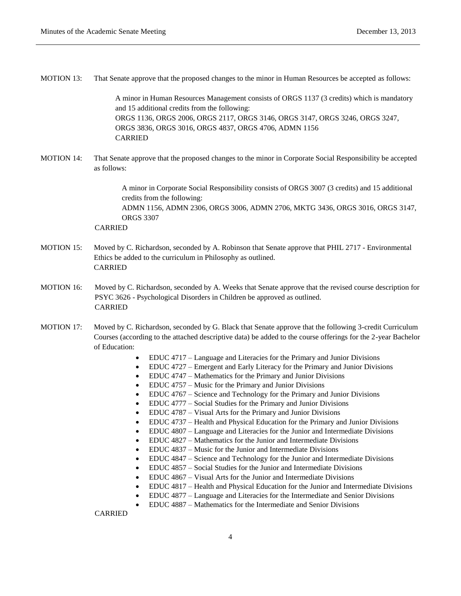| <b>MOTION 13:</b> | That Senate approve that the proposed changes to the minor in Human Resources be accepted as follows:                                                                                                                                                                                                  |  |
|-------------------|--------------------------------------------------------------------------------------------------------------------------------------------------------------------------------------------------------------------------------------------------------------------------------------------------------|--|
|                   | A minor in Human Resources Management consists of ORGS 1137 (3 credits) which is mandatory<br>and 15 additional credits from the following:<br>ORGS 1136, ORGS 2006, ORGS 2117, ORGS 3146, ORGS 3147, ORGS 3246, ORGS 3247,<br>ORGS 3836, ORGS 3016, ORGS 4837, ORGS 4706, ADMN 1156<br><b>CARRIED</b> |  |
| <b>MOTION 14:</b> | That Senate approve that the proposed changes to the minor in Corporate Social Responsibility be accepted<br>as follows:                                                                                                                                                                               |  |
|                   | A minor in Corporate Social Responsibility consists of ORGS 3007 (3 credits) and 15 additional<br>credits from the following:                                                                                                                                                                          |  |
|                   | ADMN 1156, ADMN 2306, ORGS 3006, ADMN 2706, MKTG 3436, ORGS 3016, ORGS 3147,<br><b>ORGS 3307</b><br><b>CARRIED</b>                                                                                                                                                                                     |  |
| <b>MOTION 15:</b> | Moved by C. Richardson, seconded by A. Robinson that Senate approve that PHIL 2717 - Environmental<br>Ethics be added to the curriculum in Philosophy as outlined.<br><b>CARRIED</b>                                                                                                                   |  |
| <b>MOTION 16:</b> | Moved by C. Richardson, seconded by A. Weeks that Senate approve that the revised course description for<br>PSYC 3626 - Psychological Disorders in Children be approved as outlined.<br><b>CARRIED</b>                                                                                                 |  |
| <b>MOTION 17:</b> | Moved by C. Richardson, seconded by G. Black that Senate approve that the following 3-credit Curriculum<br>Courses (according to the attached descriptive data) be added to the course offerings for the 2-year Bachelor<br>of Education:                                                              |  |
|                   | EDUC 4717 – Language and Literacies for the Primary and Junior Divisions<br>$\bullet$<br>EDUC 4727 – Emergent and Early Literacy for the Primary and Junior Divisions<br>٠<br>EDUC 4747 – Mathematics for the Primary and Junior Divisions                                                             |  |

- EDUC 4757 Music for the Primary and Junior Divisions
- EDUC 4767 Science and Technology for the Primary and Junior Divisions
- EDUC 4777 Social Studies for the Primary and Junior Divisions
- EDUC 4787 Visual Arts for the Primary and Junior Divisions
- EDUC 4737 Health and Physical Education for the Primary and Junior Divisions
- EDUC 4807 Language and Literacies for the Junior and Intermediate Divisions
- EDUC 4827 Mathematics for the Junior and Intermediate Divisions
- EDUC 4837 Music for the Junior and Intermediate Divisions
- EDUC 4847 Science and Technology for the Junior and Intermediate Divisions
- EDUC 4857 Social Studies for the Junior and Intermediate Divisions
- EDUC 4867 Visual Arts for the Junior and Intermediate Divisions
- EDUC 4817 Health and Physical Education for the Junior and Intermediate Divisions
- EDUC 4877 Language and Literacies for the Intermediate and Senior Divisions
- EDUC 4887 Mathematics for the Intermediate and Senior Divisions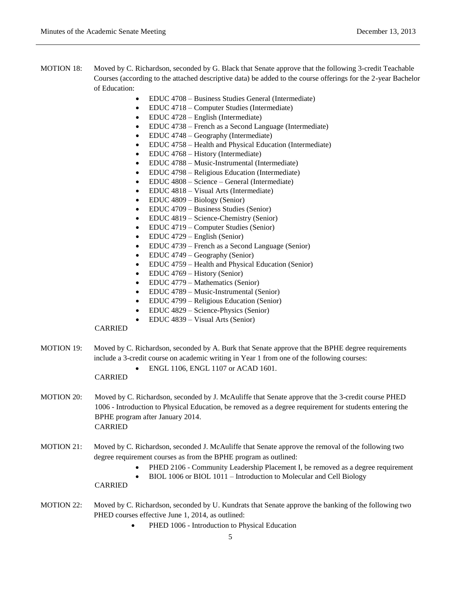- MOTION 18: Moved by C. Richardson, seconded by G. Black that Senate approve that the following 3-credit Teachable Courses (according to the attached descriptive data) be added to the course offerings for the 2-year Bachelor of Education:
	- EDUC 4708 Business Studies General (Intermediate)
	- EDUC 4718 Computer Studies (Intermediate)
	- EDUC 4728 English (Intermediate)
	- EDUC 4738 French as a Second Language (Intermediate)
	- EDUC 4748 Geography (Intermediate)
	- EDUC 4758 Health and Physical Education (Intermediate)
	- EDUC 4768 History (Intermediate)
	- EDUC 4788 Music-Instrumental (Intermediate)
	- EDUC 4798 Religious Education (Intermediate)
	- EDUC 4808 Science General (Intermediate)
	- EDUC 4818 Visual Arts (Intermediate)
	- EDUC 4809 Biology (Senior)
	- EDUC 4709 Business Studies (Senior)
	- EDUC 4819 Science-Chemistry (Senior)
	- EDUC 4719 Computer Studies (Senior)
	- EDUC 4729 English (Senior)
	- EDUC 4739 French as a Second Language (Senior)
	- EDUC 4749 Geography (Senior)
	- EDUC 4759 Health and Physical Education (Senior)
	- EDUC 4769 History (Senior)
	- EDUC 4779 Mathematics (Senior)
	- EDUC 4789 Music-Instrumental (Senior)
	- EDUC 4799 Religious Education (Senior)
	- EDUC 4829 Science-Physics (Senior)
	- EDUC 4839 Visual Arts (Senior)

MOTION 19: Moved by C. Richardson, seconded by A. Burk that Senate approve that the BPHE degree requirements include a 3-credit course on academic writing in Year 1 from one of the following courses:

ENGL 1106, ENGL 1107 or ACAD 1601.

# CARRIED

- MOTION 20: Moved by C. Richardson, seconded by J. McAuliffe that Senate approve that the 3-credit course PHED 1006 - Introduction to Physical Education, be removed as a degree requirement for students entering the BPHE program after January 2014. CARRIED
- MOTION 21: Moved by C. Richardson, seconded J. McAuliffe that Senate approve the removal of the following two degree requirement courses as from the BPHE program as outlined:
	- PHED 2106 Community Leadership Placement I, be removed as a degree requirement
	- BIOL 1006 or BIOL 1011 Introduction to Molecular and Cell Biology

- MOTION 22: Moved by C. Richardson, seconded by U. Kundrats that Senate approve the banking of the following two PHED courses effective June 1, 2014, as outlined:
	- PHED 1006 Introduction to Physical Education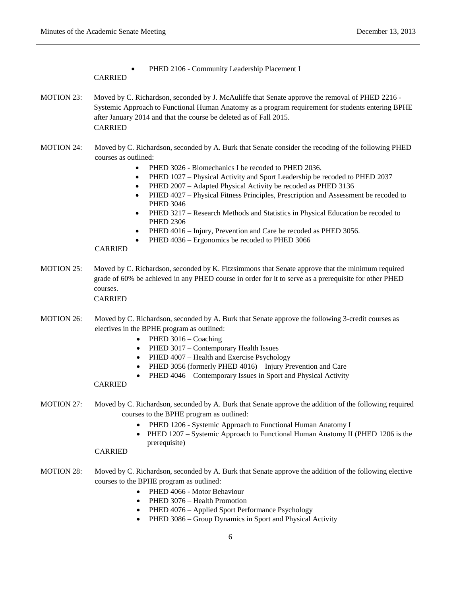PHED 2106 - Community Leadership Placement I

## CARRIED

- MOTION 23: Moved by C. Richardson, seconded by J. McAuliffe that Senate approve the removal of PHED 2216 -Systemic Approach to Functional Human Anatomy as a program requirement for students entering BPHE after January 2014 and that the course be deleted as of Fall 2015. CARRIED
- MOTION 24: Moved by C. Richardson, seconded by A. Burk that Senate consider the recoding of the following PHED courses as outlined:
	- PHED 3026 Biomechanics I be recoded to PHED 2036.
	- PHED 1027 Physical Activity and Sport Leadership be recoded to PHED 2037
	- PHED 2007 Adapted Physical Activity be recoded as PHED 3136
	- PHED 4027 Physical Fitness Principles, Prescription and Assessment be recoded to PHED 3046
	- PHED 3217 Research Methods and Statistics in Physical Education be recoded to PHED 2306
	- PHED 4016 Injury, Prevention and Care be recoded as PHED 3056.
	- PHED 4036 Ergonomics be recoded to PHED 3066

## CARRIED

MOTION 25: Moved by C. Richardson, seconded by K. Fitzsimmons that Senate approve that the minimum required grade of 60% be achieved in any PHED course in order for it to serve as a prerequisite for other PHED courses.

CARRIED

- MOTION 26: Moved by C. Richardson, seconded by A. Burk that Senate approve the following 3-credit courses as electives in the BPHE program as outlined:
	- $\bullet$  PHED 3016 Coaching
	- PHED 3017 Contemporary Health Issues
	- $\bullet$  PHED 4007 Health and Exercise Psychology
	- PHED 3056 (formerly PHED 4016) Injury Prevention and Care
	- PHED 4046 Contemporary Issues in Sport and Physical Activity

## CARRIED

- MOTION 27: Moved by C. Richardson, seconded by A. Burk that Senate approve the addition of the following required courses to the BPHE program as outlined:
	- PHED 1206 Systemic Approach to Functional Human Anatomy I
	- PHED 1207 Systemic Approach to Functional Human Anatomy II (PHED 1206 is the prerequisite)

- MOTION 28: Moved by C. Richardson, seconded by A. Burk that Senate approve the addition of the following elective courses to the BPHE program as outlined:
	- PHED 4066 Motor Behaviour
	- PHED 3076 Health Promotion
	- PHED 4076 Applied Sport Performance Psychology
	- PHED 3086 Group Dynamics in Sport and Physical Activity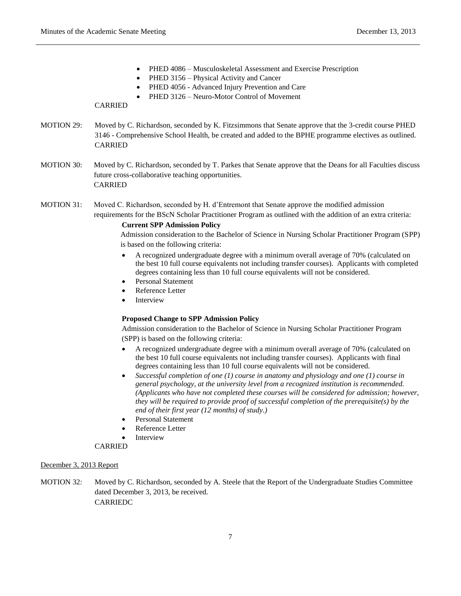- PHED 4086 Musculoskeletal Assessment and Exercise Prescription
- PHED 3156 Physical Activity and Cancer
- PHED 4056 Advanced Injury Prevention and Care
- PHED 3126 Neuro-Motor Control of Movement

- MOTION 29: Moved by C. Richardson, seconded by K. Fitzsimmons that Senate approve that the 3-credit course PHED 3146 - Comprehensive School Health, be created and added to the BPHE programme electives as outlined. CARRIED
- MOTION 30: Moved by C. Richardson, seconded by T. Parkes that Senate approve that the Deans for all Faculties discuss future cross-collaborative teaching opportunities. CARRIED
- MOTION 31: Moved C. Richardson, seconded by H. d'Entremont that Senate approve the modified admission requirements for the BScN Scholar Practitioner Program as outlined with the addition of an extra criteria:

## **Current SPP Admission Policy**

Admission consideration to the Bachelor of Science in Nursing Scholar Practitioner Program (SPP) is based on the following criteria:

- A recognized undergraduate degree with a minimum overall average of 70% (calculated on the best 10 full course equivalents not including transfer courses). Applicants with completed degrees containing less than 10 full course equivalents will not be considered.
- Personal Statement
- Reference Letter
- Interview

## **Proposed Change to SPP Admission Policy**

Admission consideration to the Bachelor of Science in Nursing Scholar Practitioner Program (SPP) is based on the following criteria:

- A recognized undergraduate degree with a minimum overall average of 70% (calculated on the best 10 full course equivalents not including transfer courses). Applicants with final degrees containing less than 10 full course equivalents will not be considered.
- *Successful completion of one (1) course in anatomy and physiology and one (1) course in general psychology, at the university level from a recognized institution is recommended. (Applicants who have not completed these courses will be considered for admission; however, they will be required to provide proof of successful completion of the prerequisite(s) by the end of their first year (12 months) of study.)*
- Personal Statement
- Reference Letter
- Interview

## CARRIED

## December 3, 2013 Report

MOTION 32: Moved by C. Richardson, seconded by A. Steele that the Report of the Undergraduate Studies Committee dated December 3, 2013, be received. CARRIEDC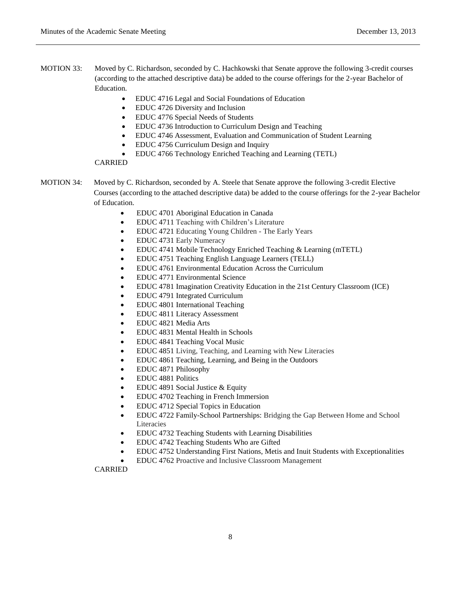- MOTION 33: Moved by C. Richardson, seconded by C. Hachkowski that Senate approve the following 3-credit courses (according to the attached descriptive data) be added to the course offerings for the 2-year Bachelor of Education.
	- EDUC 4716 Legal and Social Foundations of Education
	- EDUC 4726 Diversity and Inclusion
	- EDUC 4776 Special Needs of Students
	- EDUC 4736 Introduction to Curriculum Design and Teaching
	- EDUC 4746 Assessment, Evaluation and Communication of Student Learning
	- EDUC 4756 Curriculum Design and Inquiry
	- EDUC 4766 Technology Enriched Teaching and Learning (TETL)

- MOTION 34: Moved by C. Richardson, seconded by A. Steele that Senate approve the following 3-credit Elective Courses (according to the attached descriptive data) be added to the course offerings for the 2-year Bachelor of Education.
	- EDUC 4701 Aboriginal Education in Canada
	- EDUC 4711 Teaching with Children's Literature
	- EDUC 4721 Educating Young Children The Early Years
	- EDUC 4731 Early Numeracy
	- EDUC 4741 Mobile Technology Enriched Teaching & Learning (mTETL)
	- EDUC 4751 Teaching English Language Learners (TELL)
	- EDUC 4761 Environmental Education Across the Curriculum
	- EDUC 4771 Environmental Science
	- EDUC 4781 Imagination Creativity Education in the 21st Century Classroom (ICE)
	- EDUC 4791 Integrated Curriculum
	- EDUC 4801 International Teaching
	- EDUC 4811 Literacy Assessment
	- EDUC 4821 Media Arts
	- EDUC 4831 Mental Health in Schools
	- EDUC 4841 Teaching Vocal Music
	- EDUC 4851 Living, Teaching, and Learning with New Literacies
	- EDUC 4861 Teaching, Learning, and Being in the Outdoors
	- EDUC 4871 Philosophy
	- EDUC 4881 Politics
	- EDUC 4891 Social Justice & Equity
	- EDUC 4702 Teaching in French Immersion
	- EDUC 4712 Special Topics in Education
	- EDUC 4722 Family-School Partnerships: Bridging the Gap Between Home and School Literacies
	- EDUC 4732 Teaching Students with Learning Disabilities
	- EDUC 4742 Teaching Students Who are Gifted
	- EDUC 4752 Understanding First Nations, Metis and Inuit Students with Exceptionalities
	- EDUC 4762 Proactive and Inclusive Classroom Management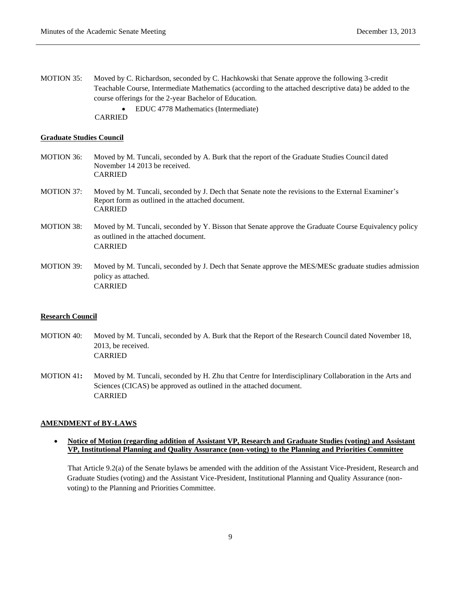MOTION 35: Moved by C. Richardson, seconded by C. Hachkowski that Senate approve the following 3-credit Teachable Course, Intermediate Mathematics (according to the attached descriptive data) be added to the course offerings for the 2-year Bachelor of Education. EDUC 4778 Mathematics (Intermediate) CARRIED

# **Graduate Studies Council**

- MOTION 36: Moved by M. Tuncali, seconded by A. Burk that the report of the Graduate Studies Council dated November 14 2013 be received. CARRIED
- MOTION 37: Moved by M. Tuncali, seconded by J. Dech that Senate note the revisions to the External Examiner's Report form as outlined in the attached document. CARRIED
- MOTION 38: Moved by M. Tuncali, seconded by Y. Bisson that Senate approve the Graduate Course Equivalency policy as outlined in the attached document. CARRIED
- MOTION 39: Moved by M. Tuncali, seconded by J. Dech that Senate approve the MES/MESc graduate studies admission policy as attached. CARRIED

#### **Research Council**

- MOTION 40: Moved by M. Tuncali, seconded by A. Burk that the Report of the Research Council dated November 18, 2013, be received. CARRIED
- MOTION 41**:** Moved by M. Tuncali, seconded by H. Zhu that Centre for Interdisciplinary Collaboration in the Arts and Sciences (CICAS) be approved as outlined in the attached document. CARRIED

#### **AMENDMENT of BY-LAWS**

 **Notice of Motion (regarding addition of Assistant VP, Research and Graduate Studies (voting) and Assistant VP, Institutional Planning and Quality Assurance (non-voting) to the Planning and Priorities Committee**

That Article 9.2(a) of the Senate bylaws be amended with the addition of the Assistant Vice-President, Research and Graduate Studies (voting) and the Assistant Vice-President, Institutional Planning and Quality Assurance (nonvoting) to the Planning and Priorities Committee.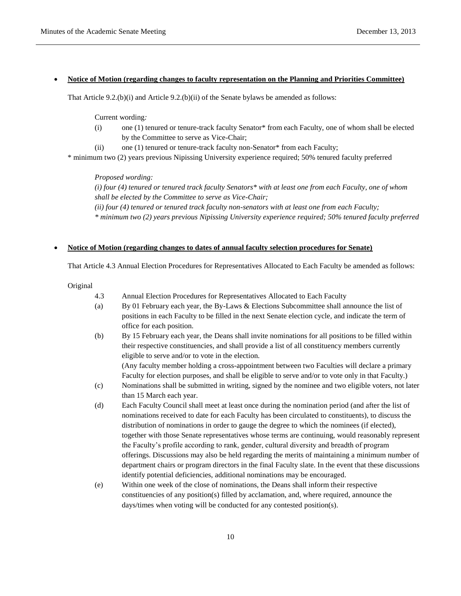#### **Notice of Motion (regarding changes to faculty representation on the Planning and Priorities Committee)**

That Article 9.2.(b)(i) and Article 9.2.(b)(ii) of the Senate bylaws be amended as follows:

Current wording*:*

- (i) one (1) tenured or tenure-track faculty Senator\* from each Faculty, one of whom shall be elected by the Committee to serve as Vice-Chair;
- (ii) one (1) tenured or tenure-track faculty non-Senator\* from each Faculty;

\* minimum two (2) years previous Nipissing University experience required; 50% tenured faculty preferred

*Proposed wording:*

*(i) four (4) tenured or tenured track faculty Senators\* with at least one from each Faculty, one of whom shall be elected by the Committee to serve as Vice-Chair; (ii) four (4) tenured or tenured track faculty non-senators with at least one from each Faculty; \* minimum two (2) years previous Nipissing University experience required; 50% tenured faculty preferred*

# **Notice of Motion (regarding changes to dates of annual faculty selection procedures for Senate)**

That Article 4.3 Annual Election Procedures for Representatives Allocated to Each Faculty be amended as follows:

Original

- 4.3 Annual Election Procedures for Representatives Allocated to Each Faculty
- (a) By 01 February each year, the By-Laws & Elections Subcommittee shall announce the list of positions in each Faculty to be filled in the next Senate election cycle, and indicate the term of office for each position.
- (b) By 15 February each year, the Deans shall invite nominations for all positions to be filled within their respective constituencies, and shall provide a list of all constituency members currently eligible to serve and/or to vote in the election.

(Any faculty member holding a cross-appointment between two Faculties will declare a primary Faculty for election purposes, and shall be eligible to serve and/or to vote only in that Faculty.)

- (c) Nominations shall be submitted in writing, signed by the nominee and two eligible voters, not later than 15 March each year.
- (d) Each Faculty Council shall meet at least once during the nomination period (and after the list of nominations received to date for each Faculty has been circulated to constituents), to discuss the distribution of nominations in order to gauge the degree to which the nominees (if elected), together with those Senate representatives whose terms are continuing, would reasonably represent the Faculty's profile according to rank, gender, cultural diversity and breadth of program offerings. Discussions may also be held regarding the merits of maintaining a minimum number of department chairs or program directors in the final Faculty slate. In the event that these discussions identify potential deficiencies, additional nominations may be encouraged.
- (e) Within one week of the close of nominations, the Deans shall inform their respective constituencies of any position(s) filled by acclamation, and, where required, announce the days/times when voting will be conducted for any contested position(s).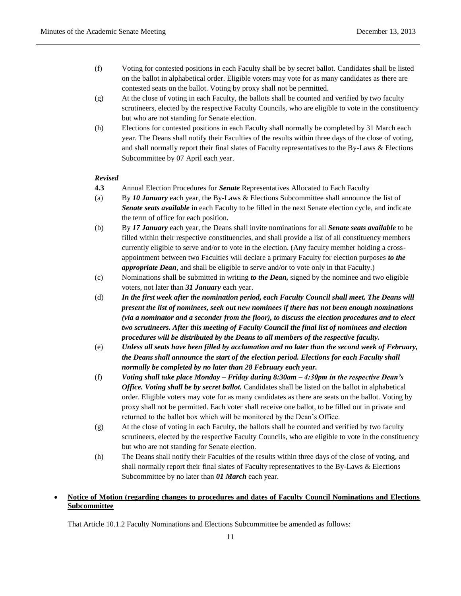- (f) Voting for contested positions in each Faculty shall be by secret ballot. Candidates shall be listed on the ballot in alphabetical order. Eligible voters may vote for as many candidates as there are contested seats on the ballot. Voting by proxy shall not be permitted.
- (g) At the close of voting in each Faculty, the ballots shall be counted and verified by two faculty scrutineers, elected by the respective Faculty Councils, who are eligible to vote in the constituency but who are not standing for Senate election.
- (h) Elections for contested positions in each Faculty shall normally be completed by 31 March each year. The Deans shall notify their Faculties of the results within three days of the close of voting, and shall normally report their final slates of Faculty representatives to the By-Laws & Elections Subcommittee by 07 April each year.

## *Revised*

- **4.3** Annual Election Procedures for *Senate* Representatives Allocated to Each Faculty
- (a) By *10 January* each year, the By-Laws & Elections Subcommittee shall announce the list of *Senate seats available* in each Faculty to be filled in the next Senate election cycle, and indicate the term of office for each position.
- (b) By *17 January* each year, the Deans shall invite nominations for all *Senate seats available* to be filled within their respective constituencies, and shall provide a list of all constituency members currently eligible to serve and/or to vote in the election. (Any faculty member holding a crossappointment between two Faculties will declare a primary Faculty for election purposes *to the appropriate Dean*, and shall be eligible to serve and/or to vote only in that Faculty.)
- (c) Nominations shall be submitted in writing *to the Dean,* signed by the nominee and two eligible voters, not later than *31 January* each year.
- (d) *In the first week after the nomination period, each Faculty Council shall meet. The Deans will present the list of nominees, seek out new nominees if there has not been enough nominations (via a nominator and a seconder from the floor), to discuss the election procedures and to elect two scrutineers. After this meeting of Faculty Council the final list of nominees and election procedures will be distributed by the Deans to all members of the respective faculty.*
- (e) *Unless all seats have been filled by acclamation and no later than the second week of February, the Deans shall announce the start of the election period. Elections for each Faculty shall normally be completed by no later than 28 February each year.*
- (f) *Voting shall take place Monday – Friday during 8:30am – 4:30pm in the respective Dean's Office. Voting shall be by secret ballot.* Candidates shall be listed on the ballot in alphabetical order. Eligible voters may vote for as many candidates as there are seats on the ballot. Voting by proxy shall not be permitted. Each voter shall receive one ballot, to be filled out in private and returned to the ballot box which will be monitored by the Dean's Office.
- (g) At the close of voting in each Faculty, the ballots shall be counted and verified by two faculty scrutineers, elected by the respective Faculty Councils, who are eligible to vote in the constituency but who are not standing for Senate election.
- (h) The Deans shall notify their Faculties of the results within three days of the close of voting, and shall normally report their final slates of Faculty representatives to the By-Laws & Elections Subcommittee by no later than *01 March* each year.

# **Notice of Motion (regarding changes to procedures and dates of Faculty Council Nominations and Elections Subcommittee**

That Article 10.1.2 Faculty Nominations and Elections Subcommittee be amended as follows: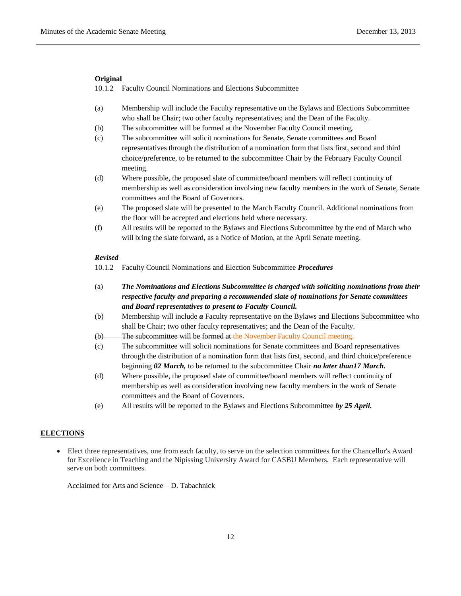### **Original**

10.1.2 Faculty Council Nominations and Elections Subcommittee

- (a) Membership will include the Faculty representative on the Bylaws and Elections Subcommittee who shall be Chair; two other faculty representatives; and the Dean of the Faculty.
- (b) The subcommittee will be formed at the November Faculty Council meeting.
- (c) The subcommittee will solicit nominations for Senate, Senate committees and Board representatives through the distribution of a nomination form that lists first, second and third choice/preference, to be returned to the subcommittee Chair by the February Faculty Council meeting.
- (d) Where possible, the proposed slate of committee/board members will reflect continuity of membership as well as consideration involving new faculty members in the work of Senate, Senate committees and the Board of Governors.
- (e) The proposed slate will be presented to the March Faculty Council. Additional nominations from the floor will be accepted and elections held where necessary.
- (f) All results will be reported to the Bylaws and Elections Subcommittee by the end of March who will bring the slate forward, as a Notice of Motion, at the April Senate meeting.

### *Revised*

10.1.2 Faculty Council Nominations and Election Subcommittee *Procedures*

- (a) *The Nominations and Elections Subcommittee is charged with soliciting nominations from their respective faculty and preparing a recommended slate of nominations for Senate committees and Board representatives to present to Faculty Council.*
- (b) Membership will include *a* Faculty representative on the Bylaws and Elections Subcommittee who shall be Chair; two other faculty representatives; and the Dean of the Faculty.
- (b) The subcommittee will be formed at the November Faculty Council meeting.
- (c) The subcommittee will solicit nominations for Senate committees and Board representatives through the distribution of a nomination form that lists first, second, and third choice/preference beginning *02 March,* to be returned to the subcommittee Chair *no later than17 March.*
- (d) Where possible, the proposed slate of committee/board members will reflect continuity of membership as well as consideration involving new faculty members in the work of Senate committees and the Board of Governors.
- (e) All results will be reported to the Bylaws and Elections Subcommittee *by 25 April.*

## **ELECTIONS**

 Elect three representatives, one from each faculty, to serve on the selection committees for the Chancellor's Award for Excellence in Teaching and the Nipissing University Award for CASBU Members. Each representative will serve on both committees.

Acclaimed for Arts and Science – D. Tabachnick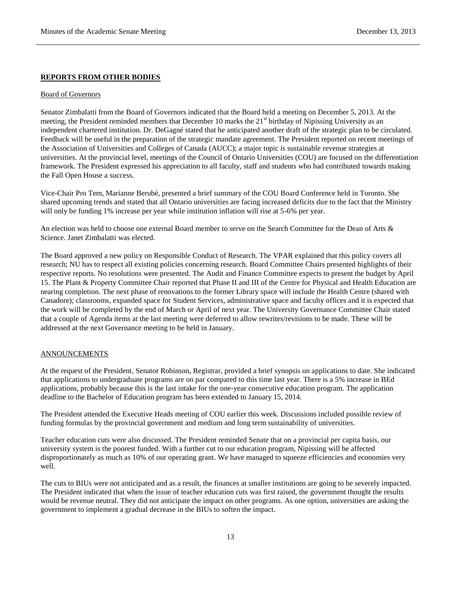### **REPORTS FROM OTHER BODIES**

### Board of Governors

Senator Zimbalatti from the Board of Governors indicated that the Board held a meeting on December 5, 2013. At the meeting, the President reminded members that December 10 marks the 21<sup>st</sup> birthday of Nipissing University as an independent chartered institution. Dr. DeGagné stated that he anticipated another draft of the strategic plan to be circulated. Feedback will be useful in the preparation of the strategic mandate agreement. The President reported on recent meetings of the Association of Universities and Colleges of Canada (AUCC); a major topic is sustainable revenue strategies at universities. At the provincial level, meetings of the Council of Ontario Universities (COU) are focused on the differentiation framework. The President expressed his appreciation to all faculty, staff and students who had contributed towards making the Fall Open House a success.

Vice-Chair Pro Tem, Marianne Berubé, presented a brief summary of the COU Board Conference held in Toronto. She shared upcoming trends and stated that all Ontario universities are facing increased deficits due to the fact that the Ministry will only be funding 1% increase per year while institution inflation will rise at 5-6% per year.

An election was held to choose one external Board member to serve on the Search Committee for the Dean of Arts & Science. Janet Zimbalatti was elected.

The Board approved a new policy on Responsible Conduct of Research. The VPAR explained that this policy covers all research; NU has to respect all existing policies concerning research. Board Committee Chairs presented highlights of their respective reports. No resolutions were presented. The Audit and Finance Committee expects to present the budget by April 15. The Plant & Property Committee Chair reported that Phase II and III of the Centre for Physical and Health Education are nearing completion. The next phase of renovations to the former Library space will include the Health Centre (shared with Canadore); classrooms, expanded space for Student Services, administrative space and faculty offices and it is expected that the work will be completed by the end of March or April of next year. The University Governance Committee Chair stated that a couple of Agenda items at the last meeting were deferred to allow rewrites/revisions to be made. These will be addressed at the next Governance meeting to be held in January.

#### ANNOUNCEMENTS

At the request of the President, Senator Robinson, Registrar, provided a brief synopsis on applications to date. She indicated that applications to undergraduate programs are on par compared to this time last year. There is a 5% increase in BEd applications, probably because this is the last intake for the one-year consecutive education program. The application deadline to the Bachelor of Education program has been extended to January 15, 2014.

The President attended the Executive Heads meeting of COU earlier this week. Discussions included possible review of funding formulas by the provincial government and medium and long term sustainability of universities.

Teacher education cuts were also discussed. The President reminded Senate that on a provincial per capita basis, our university system is the poorest funded. With a further cut to our education program, Nipissing will be affected disproportionately as much as 10% of our operating grant. We have managed to squeeze efficiencies and economies very well.

The cuts to BIUs were not anticipated and as a result, the finances at smaller institutions are going to be severely impacted. The President indicated that when the issue of teacher education cuts was first raised, the government thought the results would be revenue neutral. They did not anticipate the impact on other programs. As one option, universities are asking the government to implement a gradual decrease in the BIUs to soften the impact.